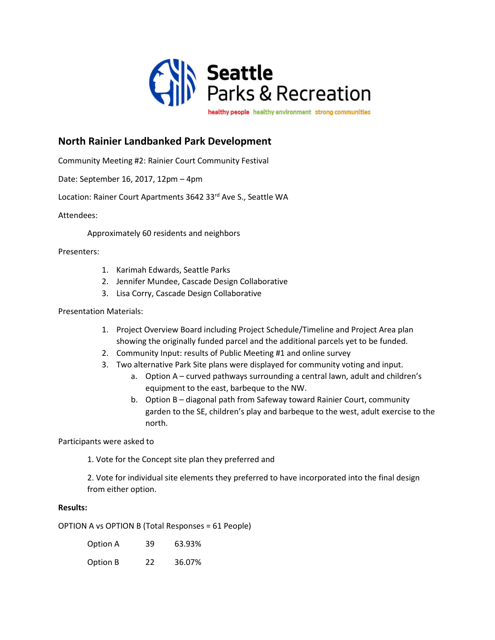

**North Rainier Landbanked Park Development**

Community Meeting #2: Rainier Court Community Festival

Date: September 16, 2017, 12pm – 4pm

Location: Rainer Court Apartments 3642 33rd Ave S., Seattle WA

Attendees:

Approximately 60 residents and neighbors

Presenters:

- 1. Karimah Edwards, Seattle Parks
- 2. Jennifer Mundee, Cascade Design Collaborative
- 3. Lisa Corry, Cascade Design Collaborative

Presentation Materials:

- 1. Project Overview Board including Project Schedule/Timeline and Project Area plan showing the originally funded parcel and the additional parcels yet to be funded.
- 2. Community Input: results of Public Meeting #1 and online survey
- 3. Two alternative Park Site plans were displayed for community voting and input.
	- a. Option A curved pathways surrounding a central lawn, adult and children's equipment to the east, barbeque to the NW.
	- b. Option B diagonal path from Safeway toward Rainier Court, community garden to the SE, children's play and barbeque to the west, adult exercise to the north.

Participants were asked to

1. Vote for the Concept site plan they preferred and

2. Vote for individual site elements they preferred to have incorporated into the final design from either option.

## **Results:**

OPTION A vs OPTION B (Total Responses = 61 People)

| Option A | 39 | 63.93% |
|----------|----|--------|
| Option B | 22 | 36.07% |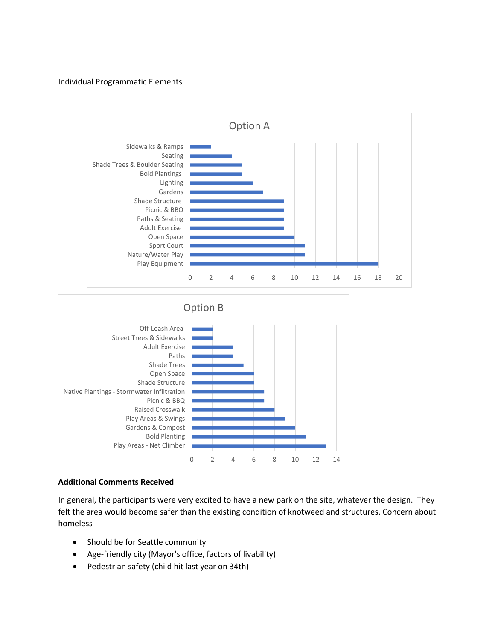## Individual Programmatic Elements



## **Additional Comments Received**

In general, the participants were very excited to have a new park on the site, whatever the design. They felt the area would become safer than the existing condition of knotweed and structures. Concern about homeless

- Should be for Seattle community
- Age-friendly city (Mayor's office, factors of livability)
- Pedestrian safety (child hit last year on 34th)